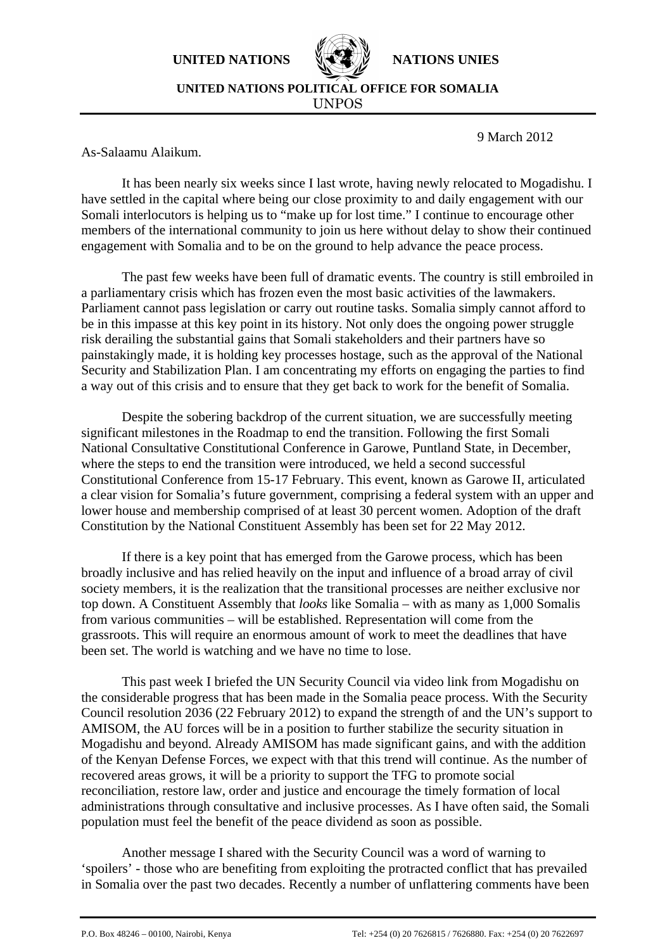**UNITED NATIONS NATIONS INIES** 



**UNITED NATIONS POLITICAL OFFICE FOR SOMALIA** UNPOS

9 March 2012

As-Salaamu Alaikum.

It has been nearly six weeks since I last wrote, having newly relocated to Mogadishu. I have settled in the capital where being our close proximity to and daily engagement with our Somali interlocutors is helping us to "make up for lost time." I continue to encourage other members of the international community to join us here without delay to show their continued engagement with Somalia and to be on the ground to help advance the peace process.

The past few weeks have been full of dramatic events. The country is still embroiled in a parliamentary crisis which has frozen even the most basic activities of the lawmakers. Parliament cannot pass legislation or carry out routine tasks. Somalia simply cannot afford to be in this impasse at this key point in its history. Not only does the ongoing power struggle risk derailing the substantial gains that Somali stakeholders and their partners have so painstakingly made, it is holding key processes hostage, such as the approval of the National Security and Stabilization Plan. I am concentrating my efforts on engaging the parties to find a way out of this crisis and to ensure that they get back to work for the benefit of Somalia.

Despite the sobering backdrop of the current situation, we are successfully meeting significant milestones in the Roadmap to end the transition. Following the first Somali National Consultative Constitutional Conference in Garowe, Puntland State, in December, where the steps to end the transition were introduced, we held a second successful Constitutional Conference from 15-17 February. This event, known as Garowe II, articulated a clear vision for Somalia's future government, comprising a federal system with an upper and lower house and membership comprised of at least 30 percent women. Adoption of the draft Constitution by the National Constituent Assembly has been set for 22 May 2012.

If there is a key point that has emerged from the Garowe process, which has been broadly inclusive and has relied heavily on the input and influence of a broad array of civil society members, it is the realization that the transitional processes are neither exclusive nor top down. A Constituent Assembly that *looks* like Somalia – with as many as 1,000 Somalis from various communities – will be established. Representation will come from the grassroots. This will require an enormous amount of work to meet the deadlines that have been set. The world is watching and we have no time to lose.

 This past week I briefed the UN Security Council via video link from Mogadishu on the considerable progress that has been made in the Somalia peace process. With the Security Council resolution 2036 (22 February 2012) to expand the strength of and the UN's support to AMISOM, the AU forces will be in a position to further stabilize the security situation in Mogadishu and beyond. Already AMISOM has made significant gains, and with the addition of the Kenyan Defense Forces, we expect with that this trend will continue. As the number of recovered areas grows, it will be a priority to support the TFG to promote social reconciliation, restore law, order and justice and encourage the timely formation of local administrations through consultative and inclusive processes. As I have often said, the Somali population must feel the benefit of the peace dividend as soon as possible.

Another message I shared with the Security Council was a word of warning to 'spoilers' - those who are benefiting from exploiting the protracted conflict that has prevailed in Somalia over the past two decades. Recently a number of unflattering comments have been